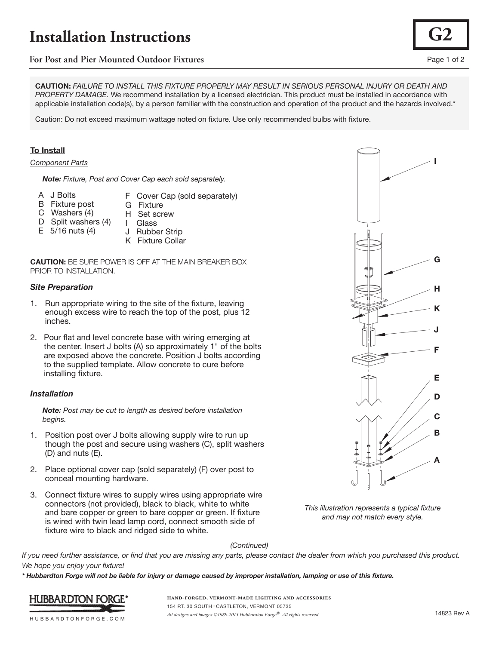# **Installation Instructions**

# **For Post and Pier Mounted Outdoor Fixtures** Page 1 of 2

**CAUTION:** *FAILURE TO INSTALL THIS FIXTURE PROPERLY MAY RESULT IN SERIOUS PERSONAL INJURY OR DEATH AND PROPERTY DAMAGE.* We recommend installation by a licensed electrician. This product must be installed in accordance with applicable installation code(s), by a person familiar with the construction and operation of the product and the hazards involved.\*

Caution: Do not exceed maximum wattage noted on fixture. Use only recommended bulbs with fixture.

### **To Install**

#### *Component Parts*

 *Note: Fixture, Post and Cover Cap each sold separately.*

- A J Bolts
- F Cover Cap (sold separately) G Fixture
- B Fixture post C Washers (4)
- H Set screw I Glass
- D Split washers (4) E 5/16 nuts (4)
- J Rubber Strip
	- K Fixture Collar

**CAUTION:** BE SURE POWER IS OFF AT THE MAIN BREAKER BOX PRIOR TO INSTALLATION.

#### *Site Preparation*

- 1. Run appropriate wiring to the site of the fixture, leaving enough excess wire to reach the top of the post, plus 12 inches.
- 2. Pour flat and level concrete base with wiring emerging at the center. Insert J bolts (A) so approximately 1" of the bolts are exposed above the concrete. Position J bolts according to the supplied template. Allow concrete to cure before installing fixture.

#### *Installation*

 *Note: Post may be cut to length as desired before installation begins.*

- 1. Position post over J bolts allowing supply wire to run up though the post and secure using washers (C), split washers (D) and nuts (E).
- 2. Place optional cover cap (sold separately) (F) over post to conceal mounting hardware.
- 3. Connect fixture wires to supply wires using appropriate wire connectors (not provided), black to black, white to white and bare copper or green to bare copper or green. If fixture is wired with twin lead lamp cord, connect smooth side of fixture wire to black and ridged side to white.



*This illustration represents a typical fixture and may not match every style.*

#### *(Continued)*

*If you need further assistance, or find that you are missing any parts, please contact the dealer from which you purchased this product. We hope you enjoy your fixture!* 

*\* Hubbardton Forge will not be liable for injury or damage caused by improper installation, lamping or use of this fixture.*



**hand-forged, vermont-made lighting and accessories** 154 RT. 30 SOUTH • CASTLETON, VERMONT 05735 *All designs and images ©1989-2013 Hubbardton Forge®. All rights reserved.* 14823 Rev A

**G2**

HUBBARDTONFORGE.COM